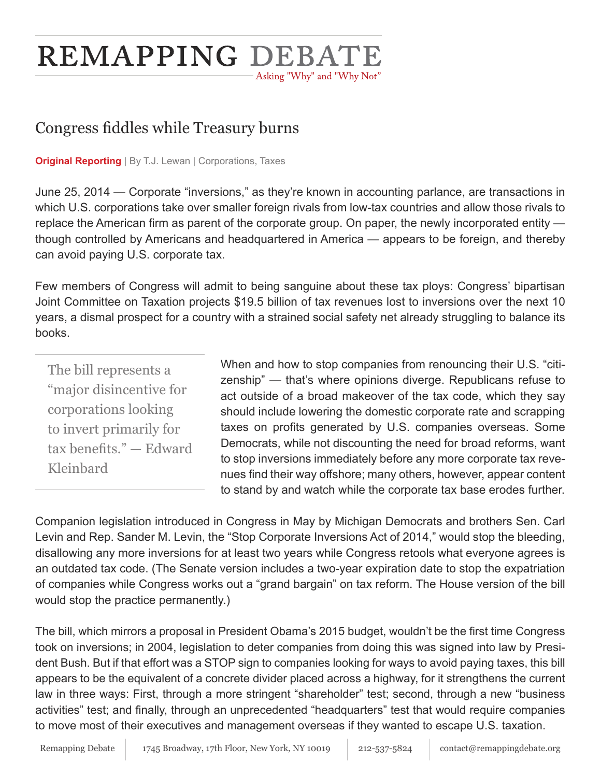# **REMAPPING DEBATE** - Asking "Why" and "Why Not"

## Congress fiddles while Treasury burns

**Original Reporting** | By T.J. Lewan | Corporations, Taxes

June 25, 2014 — Corporate "inversions," as they're known in accounting parlance, are transactions in which U.S. corporations take over smaller foreign rivals from low-tax countries and allow those rivals to replace the American firm as parent of the corporate group. On paper, the newly incorporated entity though controlled by Americans and headquartered in America — appears to be foreign, and thereby can avoid paying U.S. corporate tax.

Few members of Congress will admit to being sanguine about these tax ploys: Congress' bipartisan Joint Committee on Taxation projects \$19.5 billion of tax revenues lost to inversions over the next 10 years, a dismal prospect for a country with a strained social safety net already struggling to balance its books.

The bill represents a "major disincentive for corporations looking to invert primarily for tax benefits." — Edward Kleinbard

When and how to stop companies from renouncing their U.S. "citizenship" — that's where opinions diverge. Republicans refuse to act outside of a broad makeover of the tax code, which they say should include lowering the domestic corporate rate and scrapping taxes on profits generated by U.S. companies overseas. Some Democrats, while not discounting the need for broad reforms, want to stop inversions immediately before any more corporate tax revenues find their way offshore; many others, however, appear content to stand by and watch while the corporate tax base erodes further.

Companion legislation introduced in Congress in May by Michigan Democrats and brothers Sen. Carl Levin and Rep. Sander M. Levin, the "Stop Corporate Inversions Act of 2014," would stop the bleeding, disallowing any more inversions for at least two years while Congress retools what everyone agrees is an outdated tax code. (The Senate version includes a two-year expiration date to stop the expatriation of companies while Congress works out a "grand bargain" on tax reform. The House version of the bill would stop the practice permanently.)

The bill, which mirrors a proposal in President Obama's 2015 budget, wouldn't be the first time Congress took on inversions; in 2004, legislation to deter companies from doing this was signed into law by President Bush. But if that effort was a STOP sign to companies looking for ways to avoid paying taxes, this bill appears to be the equivalent of a concrete divider placed across a highway, for it strengthens the current law in three ways: First, through a more stringent "shareholder" test; second, through a new "business activities" test; and finally, through an unprecedented "headquarters" test that would require companies to move most of their executives and management overseas if they wanted to escape U.S. taxation.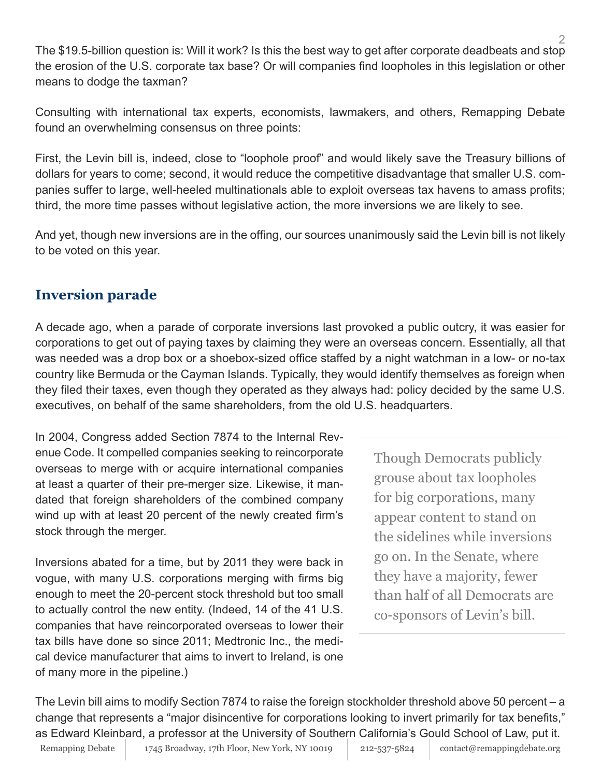2 The \$19.5-billion question is: Will it work? Is this the best way to get after corporate deadbeats and stop the erosion of the U.S. corporate tax base? Or will companies find loopholes in this legislation or other means to dodge the taxman?

Consulting with international tax experts, economists, lawmakers, and others, Remapping Debate found an overwhelming consensus on three points:

First, the Levin bill is, indeed, close to "loophole proof" and would likely save the Treasury billions of dollars for years to come; second, it would reduce the competitive disadvantage that smaller U.S. companies suffer to large, well-heeled multinationals able to exploit overseas tax havens to amass profits; third, the more time passes without legislative action, the more inversions we are likely to see.

And yet, though new inversions are in the offing, our sources unanimously said the Levin bill is not likely to be voted on this year.

### **Inversion parade**

A decade ago, when a parade of corporate inversions last provoked a public outcry, it was easier for corporations to get out of paying taxes by claiming they were an overseas concern. Essentially, all that was needed was a drop box or a shoebox-sized office staffed by a night watchman in a low- or no-tax country like Bermuda or the Cayman Islands. Typically, they would identify themselves as foreign when they filed their taxes, even though they operated as they always had: policy decided by the same U.S. executives, on behalf of the same shareholders, from the old U.S. headquarters.

In 2004, Congress added Section 7874 to the Internal Revenue Code. It compelled companies seeking to reincorporate overseas to merge with or acquire international companies at least a quarter of their pre-merger size. Likewise, it mandated that foreign shareholders of the combined company wind up with at least 20 percent of the newly created firm's stock through the merger.

Inversions abated for a time, but by 2011 they were back in vogue, with many U.S. corporations merging with firms big enough to meet the 20-percent stock threshold but too small to actually control the new entity. (Indeed, 14 of the 41 U.S. companies that have reincorporated overseas to lower their tax bills have done so since 2011; Medtronic Inc., the medical device manufacturer that aims to invert to Ireland, is one of many more in the pipeline.)

Though Democrats publicly grouse about tax loopholes for big corporations, many appear content to stand on the sidelines while inversions go on. In the Senate, where they have a majority, fewer than half of all Democrats are co-sponsors of Levin's bill.

The Levin bill aims to modify Section 7874 to raise the foreign stockholder threshold above 50 percent – a change that represents a "major disincentive for corporations looking to invert primarily for tax benefits," as Edward Kleinbard, a professor at the University of Southern California's Gould School of Law, put it.

Remapping Debate 1745 Broadway, 17th Floor, New York, NY 10019 212-537-5824 contact@remappingdebate.org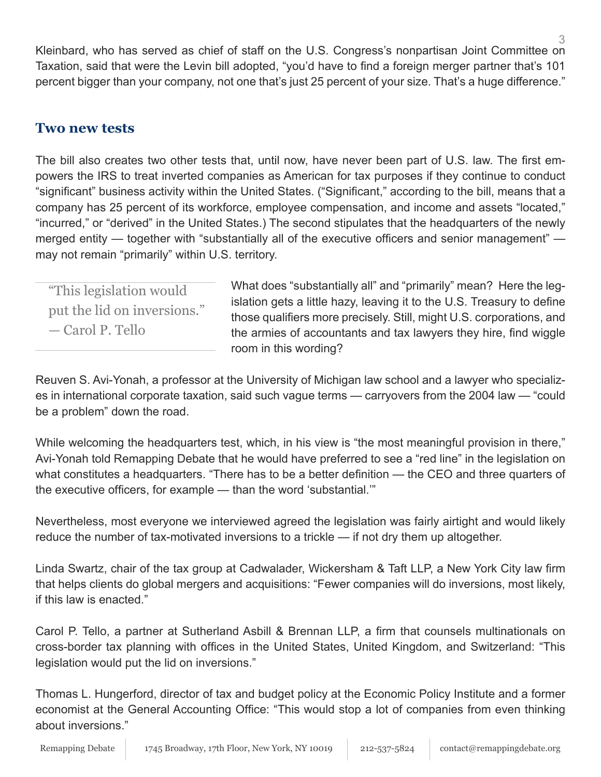3 Kleinbard, who has served as chief of staff on the U.S. Congress's nonpartisan Joint Committee on Taxation, said that were the Levin bill adopted, "you'd have to find a foreign merger partner that's 101 percent bigger than your company, not one that's just 25 percent of your size. That's a huge difference."

#### **Two new tests**

The bill also creates two other tests that, until now, have never been part of U.S. law. The first empowers the IRS to treat inverted companies as American for tax purposes if they continue to conduct "significant" business activity within the United States. ("Significant," according to the bill, means that a company has 25 percent of its workforce, employee compensation, and income and assets "located," "incurred," or "derived" in the United States.) The second stipulates that the headquarters of the newly merged entity — together with "substantially all of the executive officers and senior management" may not remain "primarily" within U.S. territory.

"This legislation would put the lid on inversions." — Carol P. Tello

What does "substantially all" and "primarily" mean? Here the legislation gets a little hazy, leaving it to the U.S. Treasury to define those qualifiers more precisely. Still, might U.S. corporations, and the armies of accountants and tax lawyers they hire, find wiggle room in this wording?

Reuven S. Avi-Yonah, a professor at the University of Michigan law school and a lawyer who specializes in international corporate taxation, said such vague terms — carryovers from the 2004 law — "could be a problem" down the road.

While welcoming the headquarters test, which, in his view is "the most meaningful provision in there," Avi-Yonah told Remapping Debate that he would have preferred to see a "red line" in the legislation on what constitutes a headquarters. "There has to be a better definition — the CEO and three quarters of the executive officers, for example — than the word 'substantial.'"

Nevertheless, most everyone we interviewed agreed the legislation was fairly airtight and would likely reduce the number of tax-motivated inversions to a trickle — if not dry them up altogether.

Linda Swartz, chair of the tax group at Cadwalader, Wickersham & Taft LLP, a New York City law firm that helps clients do global mergers and acquisitions: "Fewer companies will do inversions, most likely, if this law is enacted."

Carol P. Tello, a partner at Sutherland Asbill & Brennan LLP, a firm that counsels multinationals on cross-border tax planning with offices in the United States, United Kingdom, and Switzerland: "This legislation would put the lid on inversions."

Thomas L. Hungerford, director of tax and budget policy at the Economic Policy Institute and a former economist at the General Accounting Office: "This would stop a lot of companies from even thinking about inversions."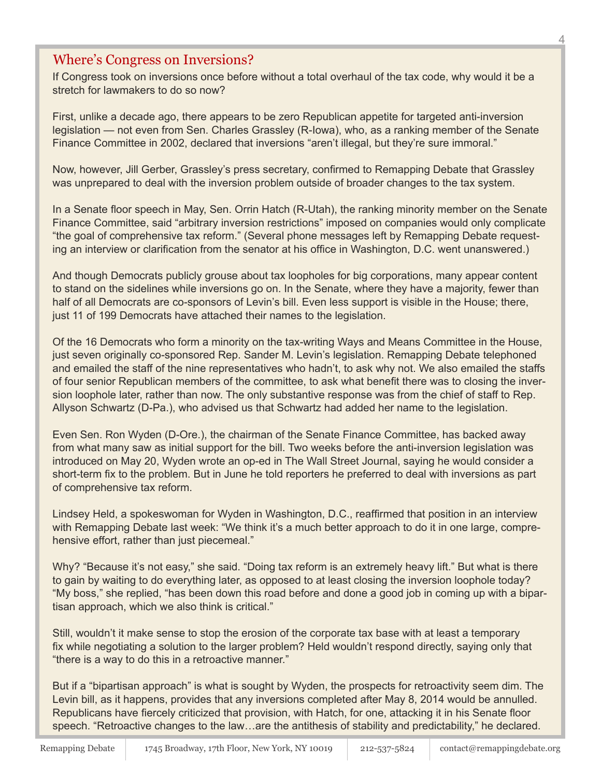#### Where's Congress on Inversions?

If Congress took on inversions once before without a total overhaul of the tax code, why would it be a stretch for lawmakers to do so now?

First, unlike a decade ago, there appears to be zero Republican appetite for targeted anti-inversion legislation — not even from Sen. Charles Grassley (R-Iowa), who, as a ranking member of the Senate Finance Committee in 2002, declared that inversions "aren't illegal, but they're sure immoral."

Now, however, Jill Gerber, Grassley's press secretary, confirmed to Remapping Debate that Grassley was unprepared to deal with the inversion problem outside of broader changes to the tax system.

In a Senate floor speech in May, Sen. Orrin Hatch (R-Utah), the ranking minority member on the Senate Finance Committee, said "arbitrary inversion restrictions" imposed on companies would only complicate "the goal of comprehensive tax reform." (Several phone messages left by Remapping Debate requesting an interview or clarification from the senator at his office in Washington, D.C. went unanswered.)

And though Democrats publicly grouse about tax loopholes for big corporations, many appear content to stand on the sidelines while inversions go on. In the Senate, where they have a majority, fewer than half of all Democrats are co-sponsors of Levin's bill. Even less support is visible in the House; there, just 11 of 199 Democrats have attached their names to the legislation.

Of the 16 Democrats who form a minority on the tax-writing Ways and Means Committee in the House, just seven originally co-sponsored Rep. Sander M. Levin's legislation. Remapping Debate telephoned and emailed the staff of the nine representatives who hadn't, to ask why not. We also emailed the staffs of four senior Republican members of the committee, to ask what benefit there was to closing the inversion loophole later, rather than now. The only substantive response was from the chief of staff to Rep. Allyson Schwartz (D-Pa.), who advised us that Schwartz had added her name to the legislation.

Even Sen. Ron Wyden (D-Ore.), the chairman of the Senate Finance Committee, has backed away from what many saw as initial support for the bill. Two weeks before the anti-inversion legislation was introduced on May 20, Wyden wrote an op-ed in The Wall Street Journal, saying he would consider a short-term fix to the problem. But in June he told reporters he preferred to deal with inversions as part of comprehensive tax reform.

Lindsey Held, a spokeswoman for Wyden in Washington, D.C., reaffirmed that position in an interview with Remapping Debate last week: "We think it's a much better approach to do it in one large, comprehensive effort, rather than just piecemeal."

Why? "Because it's not easy," she said. "Doing tax reform is an extremely heavy lift." But what is there to gain by waiting to do everything later, as opposed to at least closing the inversion loophole today? "My boss," she replied, "has been down this road before and done a good job in coming up with a bipartisan approach, which we also think is critical."

Still, wouldn't it make sense to stop the erosion of the corporate tax base with at least a temporary fix while negotiating a solution to the larger problem? Held wouldn't respond directly, saying only that "there is a way to do this in a retroactive manner."

But if a "bipartisan approach" is what is sought by Wyden, the prospects for retroactivity seem dim. The Levin bill, as it happens, provides that any inversions completed after May 8, 2014 would be annulled. Republicans have fiercely criticized that provision, with Hatch, for one, attacking it in his Senate floor speech. "Retroactive changes to the law…are the antithesis of stability and predictability," he declared.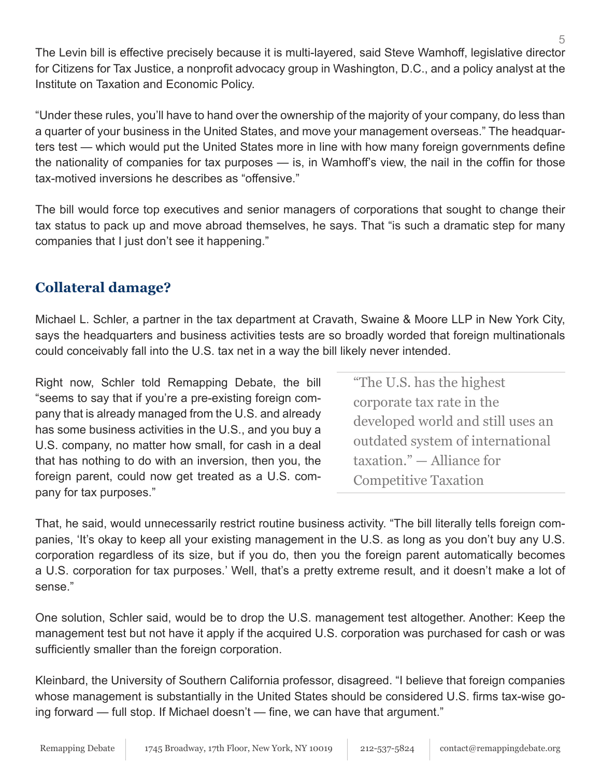The Levin bill is effective precisely because it is multi-layered, said Steve Wamhoff, legislative director for Citizens for Tax Justice, a nonprofit advocacy group in Washington, D.C., and a policy analyst at the Institute on Taxation and Economic Policy.

"Under these rules, you'll have to hand over the ownership of the majority of your company, do less than a quarter of your business in the United States, and move your management overseas." The headquarters test — which would put the United States more in line with how many foreign governments define the nationality of companies for tax purposes — is, in Wamhoff's view, the nail in the coffin for those tax-motived inversions he describes as "offensive."

The bill would force top executives and senior managers of corporations that sought to change their tax status to pack up and move abroad themselves, he says. That "is such a dramatic step for many companies that I just don't see it happening."

## **Collateral damage?**

Michael L. Schler, a partner in the tax department at Cravath, Swaine & Moore LLP in New York City, says the headquarters and business activities tests are so broadly worded that foreign multinationals could conceivably fall into the U.S. tax net in a way the bill likely never intended.

Right now, Schler told Remapping Debate, the bill "seems to say that if you're a pre-existing foreign company that is already managed from the U.S. and already has some business activities in the U.S., and you buy a U.S. company, no matter how small, for cash in a deal that has nothing to do with an inversion, then you, the foreign parent, could now get treated as a U.S. company for tax purposes."

"The U.S. has the highest corporate tax rate in the developed world and still uses an outdated system of international taxation." — Alliance for Competitive Taxation

That, he said, would unnecessarily restrict routine business activity. "The bill literally tells foreign companies, 'It's okay to keep all your existing management in the U.S. as long as you don't buy any U.S. corporation regardless of its size, but if you do, then you the foreign parent automatically becomes a U.S. corporation for tax purposes.' Well, that's a pretty extreme result, and it doesn't make a lot of sense."

One solution, Schler said, would be to drop the U.S. management test altogether. Another: Keep the management test but not have it apply if the acquired U.S. corporation was purchased for cash or was sufficiently smaller than the foreign corporation.

Kleinbard, the University of Southern California professor, disagreed. "I believe that foreign companies whose management is substantially in the United States should be considered U.S. firms tax-wise going forward — full stop. If Michael doesn't — fine, we can have that argument."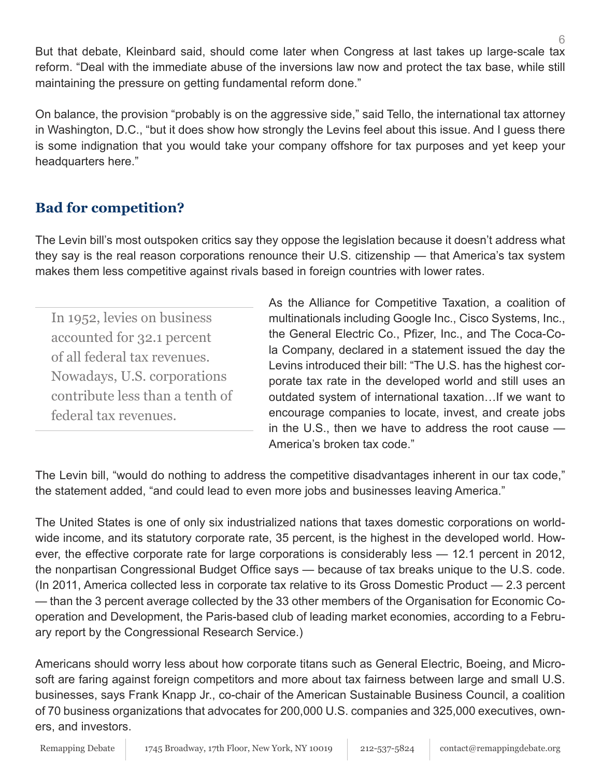But that debate, Kleinbard said, should come later when Congress at last takes up large-scale tax reform. "Deal with the immediate abuse of the inversions law now and protect the tax base, while still maintaining the pressure on getting fundamental reform done."

On balance, the provision "probably is on the aggressive side," said Tello, the international tax attorney in Washington, D.C., "but it does show how strongly the Levins feel about this issue. And I guess there is some indignation that you would take your company offshore for tax purposes and yet keep your headquarters here."

## **Bad for competition?**

The Levin bill's most outspoken critics say they oppose the legislation because it doesn't address what they say is the real reason corporations renounce their U.S. citizenship — that America's tax system makes them less competitive against rivals based in foreign countries with lower rates.

In 1952, levies on business accounted for 32.1 percent of all federal tax revenues. Nowadays, U.S. corporations contribute less than a tenth of federal tax revenues.

As the Alliance for Competitive Taxation, a coalition of multinationals including Google Inc., Cisco Systems, Inc., the General Electric Co., Pfizer, Inc., and The Coca-Cola Company, declared in a statement issued the day the Levins introduced their bill: "The U.S. has the highest corporate tax rate in the developed world and still uses an outdated system of international taxation…If we want to encourage companies to locate, invest, and create jobs in the U.S., then we have to address the root cause — America's broken tax code."

The Levin bill, "would do nothing to address the competitive disadvantages inherent in our tax code," the statement added, "and could lead to even more jobs and businesses leaving America."

The United States is one of only six industrialized nations that taxes domestic corporations on worldwide income, and its statutory corporate rate, 35 percent, is the highest in the developed world. However, the effective corporate rate for large corporations is considerably less — 12.1 percent in 2012, the nonpartisan Congressional Budget Office says — because of tax breaks unique to the U.S. code. (In 2011, America collected less in corporate tax relative to its Gross Domestic Product — 2.3 percent — than the 3 percent average collected by the 33 other members of the Organisation for Economic Cooperation and Development, the Paris-based club of leading market economies, according to a February report by the Congressional Research Service.)

Americans should worry less about how corporate titans such as General Electric, Boeing, and Microsoft are faring against foreign competitors and more about tax fairness between large and small U.S. businesses, says Frank Knapp Jr., co-chair of the American Sustainable Business Council, a coalition of 70 business organizations that advocates for 200,000 U.S. companies and 325,000 executives, owners, and investors.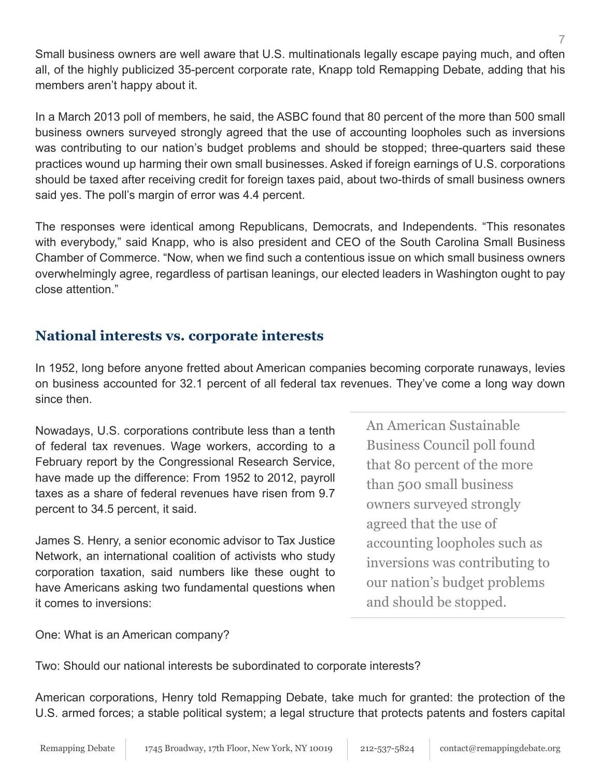Small business owners are well aware that U.S. multinationals legally escape paying much, and often all, of the highly publicized 35-percent corporate rate, Knapp told Remapping Debate, adding that his members aren't happy about it.

In a March 2013 poll of members, he said, the ASBC found that 80 percent of the more than 500 small business owners surveyed strongly agreed that the use of accounting loopholes such as inversions was contributing to our nation's budget problems and should be stopped; three-quarters said these practices wound up harming their own small businesses. Asked if foreign earnings of U.S. corporations should be taxed after receiving credit for foreign taxes paid, about two-thirds of small business owners said yes. The poll's margin of error was 4.4 percent.

The responses were identical among Republicans, Democrats, and Independents. "This resonates with everybody," said Knapp, who is also president and CEO of the South Carolina Small Business Chamber of Commerce. "Now, when we find such a contentious issue on which small business owners overwhelmingly agree, regardless of partisan leanings, our elected leaders in Washington ought to pay close attention."

## **National interests vs. corporate interests**

In 1952, long before anyone fretted about American companies becoming corporate runaways, levies on business accounted for 32.1 percent of all federal tax revenues. They've come a long way down since then.

Nowadays, U.S. corporations contribute less than a tenth of federal tax revenues. Wage workers, according to a February report by the Congressional Research Service, have made up the difference: From 1952 to 2012, payroll taxes as a share of federal revenues have risen from 9.7 percent to 34.5 percent, it said.

James S. Henry, a senior economic advisor to Tax Justice Network, an international coalition of activists who study corporation taxation, said numbers like these ought to have Americans asking two fundamental questions when it comes to inversions:

An American Sustainable Business Council poll found that 80 percent of the more than 500 small business owners surveyed strongly agreed that the use of accounting loopholes such as inversions was contributing to our nation's budget problems and should be stopped.

One: What is an American company?

Two: Should our national interests be subordinated to corporate interests?

American corporations, Henry told Remapping Debate, take much for granted: the protection of the U.S. armed forces; a stable political system; a legal structure that protects patents and fosters capital